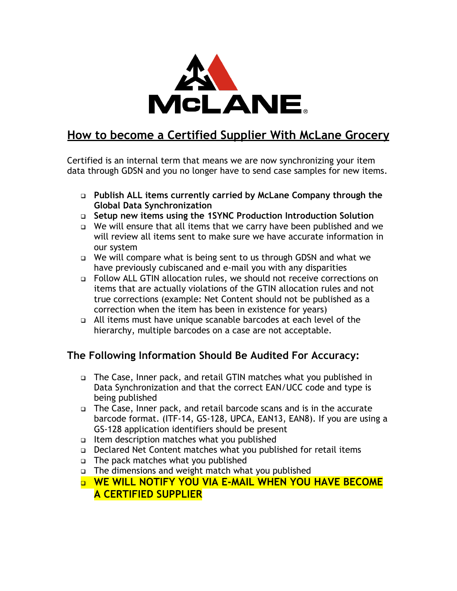

## **How to become a Certified Supplier With McLane Grocery**

Certified is an internal term that means we are now synchronizing your item data through GDSN and you no longer have to send case samples for new items.

- **Publish ALL items currently carried by McLane Company through the Global Data Synchronization**
- **Setup new items using the 1SYNC Production Introduction Solution**
- We will ensure that all items that we carry have been published and we will review all items sent to make sure we have accurate information in our system
- We will compare what is being sent to us through GDSN and what we have previously cubiscaned and e-mail you with any disparities
- Follow ALL GTIN allocation rules, we should not receive corrections on items that are actually violations of the GTIN allocation rules and not true corrections (example: Net Content should not be published as a correction when the item has been in existence for years)
- All items must have unique scanable barcodes at each level of the hierarchy, multiple barcodes on a case are not acceptable.

## **The Following Information Should Be Audited For Accuracy:**

- The Case, Inner pack, and retail GTIN matches what you published in Data Synchronization and that the correct EAN/UCC code and type is being published
- The Case, Inner pack, and retail barcode scans and is in the accurate barcode format. (ITF-14, GS-128, UPCA, EAN13, EAN8). If you are using a GS-128 application identifiers should be present
- $\Box$  Item description matches what you published
- Declared Net Content matches what you published for retail items
- The pack matches what you published
- The dimensions and weight match what you published
- **WE WILL NOTIFY YOU VIA E-MAIL WHEN YOU HAVE BECOME A CERTIFIED SUPPLIER**